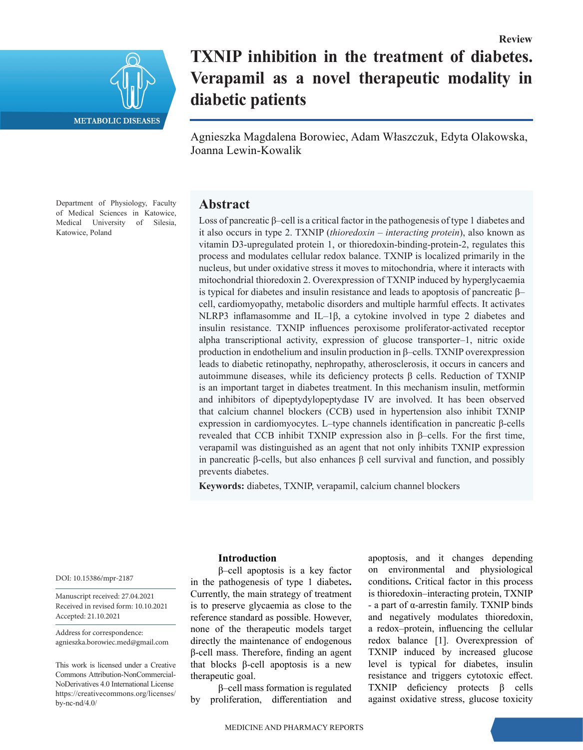

# **TXNIP inhibition in the treatment of diabetes. Verapamil as a novel therapeutic modality in diabetic patients**

Agnieszka Magdalena Borowiec, Adam Właszczuk, Edyta Olakowska, Joanna Lewin-Kowalik

Department of Physiology, Faculty of Medical Sciences in Katowice, Medical University of Silesia, Katowice, Poland

# **Abstract**

Loss of pancreatic β–cell is a critical factor in the pathogenesis of type 1 diabetes and it also occurs in type 2. TXNIP (*thioredoxin – interacting protein*), also known as vitamin D3-upregulated protein 1, or thioredoxin-binding-protein-2, regulates this process and modulates cellular redox balance. TXNIP is localized primarily in the nucleus, but under oxidative stress it moves to mitochondria, where it interacts with mitochondrial thioredoxin 2. Overexpression of TXNIP induced by hyperglycaemia is typical for diabetes and insulin resistance and leads to apoptosis of pancreatic β– cell, cardiomyopathy, metabolic disorders and multiple harmful effects. It activates NLRP3 inflamasomme and IL–1β, a cytokine involved in type 2 diabetes and insulin resistance. TXNIP influences peroxisome proliferator-activated receptor alpha transcriptional activity, expression of glucose transporter–1, nitric oxide production in endothelium and insulin production in β–cells. TXNIP overexpression leads to diabetic retinopathy, nephropathy, atherosclerosis, it occurs in cancers and autoimmune diseases, while its deficiency protects β cells. Reduction of TXNIP is an important target in diabetes treatment. In this mechanism insulin, metformin and inhibitors of dipeptydylopeptydase IV are involved. It has been observed that calcium channel blockers (CCB) used in hypertension also inhibit TXNIP expression in cardiomyocytes. L–type channels identification in pancreatic β-cells revealed that CCB inhibit TXNIP expression also in β–cells. For the first time, verapamil was distinguished as an agent that not only inhibits TXNIP expression in pancreatic β-cells, but also enhances β cell survival and function, and possibly prevents diabetes.

**Keywords:** diabetes, TXNIP, verapamil, calcium channel blockers

DOI: 10.15386/mpr-2187

Manuscript received: 27.04.2021 Received in revised form: 10.10.2021 Accepted: 21.10.2021

Address for correspondence: agnieszka.borowiec.med@gmail.com

This work is licensed under a Creative Commons Attribution-NonCommercial-NoDerivatives 4.0 International License https://creativecommons.org/licenses/ by-nc-nd/4.0/

#### **Introduction**

β–cell apoptosis is a key factor in the pathogenesis of type 1 diabetes**.**  Currently, the main strategy of treatment is to preserve glycaemia as close to the reference standard as possible. However, none of the therapeutic models target directly the maintenance of endogenous β-cell mass. Therefore, finding an agent that blocks β-cell apoptosis is a new therapeutic goal.

β–cell mass formation is regulated by proliferation, differentiation and

apoptosis, and it changes depending on environmental and physiological conditions**.** Critical factor in this process is thioredoxin–interacting protein, TXNIP *-* a part of α-arrestin family. TXNIP binds and negatively modulates thioredoxin, a redox–protein, influencing the cellular redox balance [1]. Overexpression of TXNIP induced by increased glucose level is typical for diabetes, insulin resistance and triggers cytotoxic effect. TXNIP deficiency protects β cells against oxidative stress, glucose toxicity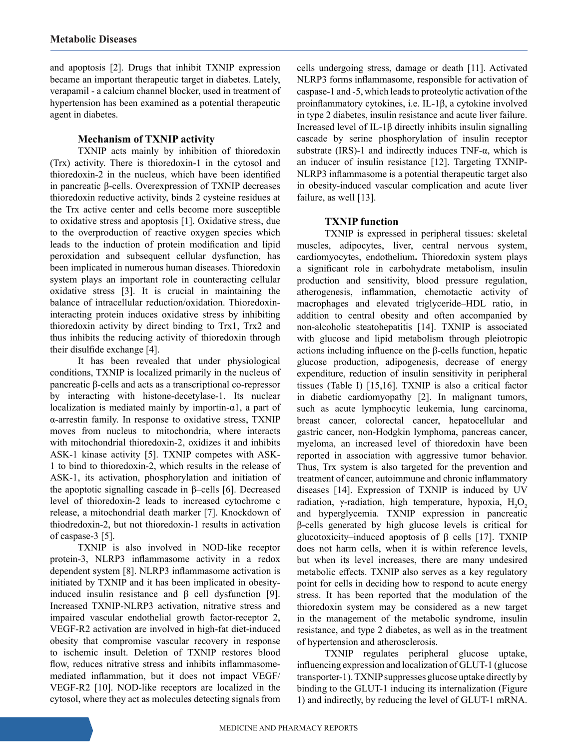and apoptosis [2]. Drugs that inhibit TXNIP expression became an important therapeutic target in diabetes. Lately, verapamil - a calcium channel blocker, used in treatment of hypertension has been examined as a potential therapeutic agent in diabetes.

# **Mechanism of TXNIP activity**

TXNIP acts mainly by inhibition of thioredoxin (Trx) activity. There is thioredoxin-1 in the cytosol and thioredoxin-2 in the nucleus, which have been identified in pancreatic β-cells. Overexpression of TXNIP decreases thioredoxin reductive activity, binds 2 cysteine residues at the Trx active center and cells become more susceptible to oxidative stress and apoptosis [1]. Oxidative stress, due to the overproduction of reactive oxygen species which leads to the induction of protein modification and lipid peroxidation and subsequent cellular dysfunction, has been implicated in numerous human diseases. Thioredoxin system plays an important role in counteracting cellular oxidative stress [3]. It is crucial in maintaining the balance of intracellular reduction/oxidation. Thioredoxininteracting protein induces oxidative stress by inhibiting thioredoxin activity by direct binding to Trx1, Trx2 and thus inhibits the reducing activity of thioredoxin through their disulfide exchange [4].

It has been revealed that under physiological conditions, TXNIP is localized primarily in the nucleus of pancreatic β-cells and acts as a transcriptional co-repressor by interacting with histone-decetylase-1. Its nuclear localization is mediated mainly by importin- $\alpha$ 1, a part of α-arrestin family. In response to oxidative stress, TXNIP moves from nucleus to mitochondria, where interacts with mitochondrial thioredoxin-2, oxidizes it and inhibits ASK-1 kinase activity [5]. TXNIP competes with ASK-1 to bind to thioredoxin-2, which results in the release of ASK-1, its activation, phosphorylation and initiation of the apoptotic signalling cascade in β–cells [6]. Decreased level of thioredoxin-2 leads to increased cytochrome c release, a mitochondrial death marker [7]. Knockdown of thiodredoxin-2, but not thioredoxin-1 results in activation of caspase-3 [5].

TXNIP is also involved in NOD-like receptor protein-3, NLRP3 inflammasome activity in a redox dependent system [8]. NLRP3 inflammasome activation is initiated by TXNIP and it has been implicated in obesityinduced insulin resistance and  $β$  cell dysfunction [9]. Increased TXNIP-NLRP3 activation, nitrative stress and impaired vascular endothelial growth factor-receptor 2, VEGF-R2 activation are involved in high-fat diet-induced obesity that compromise vascular recovery in response to ischemic insult. Deletion of TXNIP restores blood flow, reduces nitrative stress and inhibits inflammasomemediated inflammation, but it does not impact VEGF/ VEGF-R2 [10]. NOD-like receptors are localized in the cytosol, where they act as molecules detecting signals from

cells undergoing stress, damage or death [11]. Activated NLRP3 forms inflammasome, responsible for activation of caspase-1 and -5, which leads to proteolytic activation of the proinflammatory cytokines, i.e. IL-1β, a cytokine involved in type 2 diabetes, insulin resistance and acute liver failure. Increased level of IL-1β directly inhibits insulin signalling cascade by serine phosphorylation of insulin receptor substrate (IRS)-1 and indirectly induces TNF- $\alpha$ , which is an inducer of insulin resistance [12]. Targeting TXNIP-NLRP3 inflammasome is a potential therapeutic target also in obesity-induced vascular complication and acute liver failure, as well [13].

# **TXNIP function**

TXNIP is expressed in peripheral tissues: skeletal muscles, adipocytes, liver, central nervous system, cardiomyocytes, endothelium**.** Thioredoxin system plays a significant role in carbohydrate metabolism, insulin production and sensitivity, blood pressure regulation, atherogenesis, inflammation, chemotactic activity of macrophages and elevated triglyceride–HDL ratio, in addition to central obesity and often accompanied by non-alcoholic steatohepatitis [14]. TXNIP is associated with glucose and lipid metabolism through pleiotropic actions including influence on the β-cells function, hepatic glucose production, adipogenesis, decrease of energy expenditure, reduction of insulin sensitivity in peripheral tissues (Table I) [15,16]. TXNIP is also a critical factor in diabetic cardiomyopathy [2]. In malignant tumors, such as acute lymphocytic leukemia, lung carcinoma, breast cancer, colorectal cancer, hepatocellular and gastric cancer, non-Hodgkin lymphoma, pancreas cancer, myeloma, an increased level of thioredoxin have been reported in association with aggressive tumor behavior. Thus, Trx system is also targeted for the prevention and treatment of cancer, autoimmune and chronic inflammatory diseases [14]. Expression of TXNIP is induced by UV radiation, γ-radiation, high temperature, hypoxia,  $H_2O_2$ and hyperglycemia. TXNIP expression in pancreatic β-cells generated by high glucose levels is critical for glucotoxicity–induced apoptosis of β cells [17]. TXNIP does not harm cells, when it is within reference levels, but when its level increases, there are many undesired metabolic effects. TXNIP also serves as a key regulatory point for cells in deciding how to respond to acute energy stress. It has been reported that the modulation of the thioredoxin system may be considered as a new target in the management of the metabolic syndrome, insulin resistance, and type 2 diabetes, as well as in the treatment of hypertension and atherosclerosis.

TXNIP regulates peripheral glucose uptake, influencing expression and localization of GLUT-1 (glucose transporter-1). TXNIP suppresses glucose uptake directly by binding to the GLUT-1 inducing its internalization (Figure 1) and indirectly, by reducing the level of GLUT-1 mRNA.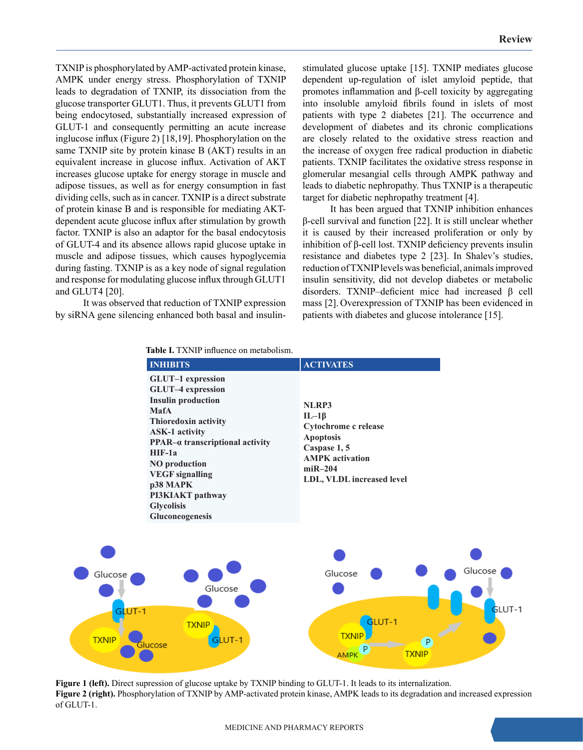TXNIP is phosphorylated by AMP-activated protein kinase, AMPK under energy stress. Phosphorylation of TXNIP leads to degradation of TXNIP, its dissociation from the glucose transporter GLUT1. Thus, it prevents GLUT1 from being endocytosed, substantially increased expression of GLUT-1 and consequently permitting an acute increase inglucose influx (Figure 2) [18,19]. Phosphorylation on the same TXNIP site by protein kinase B (AKT) results in an equivalent increase in glucose influx. Activation of AKT increases glucose uptake for energy storage in muscle and adipose tissues, as well as for energy consumption in fast dividing cells, such as in cancer. TXNIP is a direct substrate of protein kinase B and is responsible for mediating AKTdependent acute glucose influx after stimulation by growth factor. TXNIP is also an adaptor for the basal endocytosis of GLUT-4 and its absence allows rapid glucose uptake in muscle and adipose tissues, which causes hypoglycemia during fasting. TXNIP is as a key node of signal regulation and response for modulating glucose influx through GLUT1 and GLUT4 [20].

It was observed that reduction of TXNIP expression by siRNA gene silencing enhanced both basal and insulin-

 **Table I.** TXNIP influence on metabolism.

stimulated glucose uptake [15]. TXNIP mediates glucose dependent up-regulation of islet amyloid peptide, that promotes inflammation and β-cell toxicity by aggregating into insoluble amyloid fibrils found in islets of most patients with type 2 diabetes [21]. The occurrence and development of diabetes and its chronic complications are closely related to the oxidative stress reaction and the increase of oxygen free radical production in diabetic patients. TXNIP facilitates the oxidative stress response in glomerular mesangial cells through AMPK pathway and leads to diabetic nephropathy. Thus TXNIP is a therapeutic target for diabetic nephropathy treatment [4].

It has been argued that TXNIP inhibition enhances β-cell survival and function [22]. It is still unclear whether it is caused by their increased proliferation or only by inhibition of β-cell lost. TXNIP deficiency prevents insulin resistance and diabetes type 2 [23]. In Shalev's studies, reduction of TXNIP levels was beneficial, animals improved insulin sensitivity, did not develop diabetes or metabolic disorders. TXNIP–deficient mice had increased β cell mass [2]. Overexpression of TXNIP has been evidenced in patients with diabetes and glucose intolerance [15].



**Figure 1 (left).** Direct supression of glucose uptake by TXNIP binding to GLUT-1. It leads to its internalization. **Figure 2 (right).** Phosphorylation of TXNIP by AMP-activated protein kinase, AMPK leads to its degradation and increased expression of GLUT-1.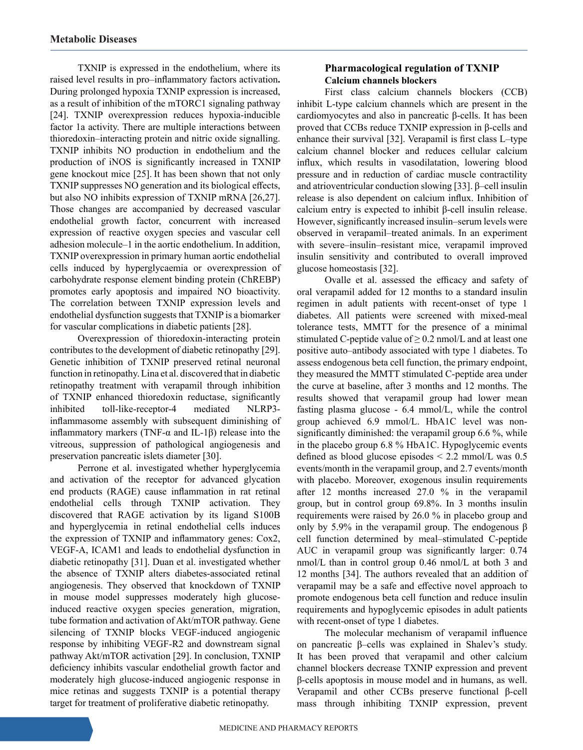TXNIP is expressed in the endothelium, where its raised level results in pro–inflammatory factors activation**.** During prolonged hypoxia TXNIP expression is increased, as a result of inhibition of the mTORC1 signaling pathway [24]. TXNIP overexpression reduces hypoxia-inducible factor 1a activity. There are multiple interactions between thioredoxin–interacting protein and nitric oxide signalling. TXNIP inhibits NO production in endothelium and the production of iNOS is significantly increased in TXNIP gene knockout mice [25]. It has been shown that not only TXNIP suppresses NO generation and its biological effects, but also NO inhibits expression of TXNIP mRNA [26,27]. Those changes are accompanied by decreased vascular endothelial growth factor, concurrent with increased expression of reactive oxygen species and vascular cell adhesion molecule–1 in the aortic endothelium. In addition, TXNIP overexpression in primary human aortic endothelial cells induced by hyperglycaemia or overexpression of carbohydrate response element binding protein (ChREBP) promotes early apoptosis and impaired NO bioactivity. The correlation between TXNIP expression levels and endothelial dysfunction suggests that TXNIP is a biomarker for vascular complications in diabetic patients [28].

Overexpression of thioredoxin-interacting protein contributes to the development of diabetic retinopathy [29]. Genetic inhibition of TXNIP preserved retinal neuronal function in retinopathy. Lina et al. discovered that in diabetic retinopathy treatment with verapamil through inhibition of TXNIP enhanced thioredoxin reductase, significantly inhibited toll-like-receptor-4 mediated NLRP3 inflammasome assembly with subsequent diminishing of inflammatory markers (TNF-α and IL-1β) release into the vitreous, suppression of pathological angiogenesis and preservation pancreatic islets diameter [30].

Perrone et al. investigated whether hyperglycemia and activation of the receptor for advanced glycation end products (RAGE) cause inflammation in rat retinal endothelial cells through TXNIP activation. They discovered that RAGE activation by its ligand S100B and hyperglycemia in retinal endothelial cells induces the expression of TXNIP and inflammatory genes: Cox2, VEGF-A, ICAM1 and leads to endothelial dysfunction in diabetic retinopathy [31]. Duan et al. investigated whether the absence of TXNIP alters diabetes-associated retinal angiogenesis. They observed that knockdown of TXNIP in mouse model suppresses moderately high glucoseinduced reactive oxygen species generation, migration, tube formation and activation of Akt/mTOR pathway. Gene silencing of TXNIP blocks VEGF-induced angiogenic response by inhibiting VEGF-R2 and downstream signal pathway Akt/mTOR activation [29]. In conclusion, TXNIP deficiency inhibits vascular endothelial growth factor and moderately high glucose-induced angiogenic response in mice retinas and suggests TXNIP is a potential therapy target for treatment of proliferative diabetic retinopathy.

# **Pharmacological regulation of TXNIP Calcium channels blockers**

First class calcium channels blockers (CCB) inhibit L-type calcium channels which are present in the cardiomyocytes and also in pancreatic β-cells. It has been proved that CCBs reduce TXNIP expression in β-cells and enhance their survival [32]. Verapamil is first class L–type calcium channel blocker and reduces cellular calcium influx, which results in vasodilatation, lowering blood pressure and in reduction of cardiac muscle contractility and atrioventricular conduction slowing [33]. β–cell insulin release is also dependent on calcium influx. Inhibition of calcium entry is expected to inhibit β-cell insulin release. However, significantly increased insulin–serum levels were observed in verapamil–treated animals. In an experiment with severe–insulin–resistant mice, verapamil improved insulin sensitivity and contributed to overall improved glucose homeostasis [32].

Ovalle et al. assessed the efficacy and safety of oral verapamil added for 12 months to a standard insulin regimen in adult patients with recent-onset of type 1 diabetes. All patients were screened with mixed-meal tolerance tests, MMTT for the presence of a minimal stimulated C-peptide value of  $\geq$  0.2 nmol/L and at least one positive auto–antibody associated with type 1 diabetes. To assess endogenous beta cell function, the primary endpoint, they measured the MMTT stimulated C-peptide area under the curve at baseline, after 3 months and 12 months. The results showed that verapamil group had lower mean fasting plasma glucose - 6.4 mmol/L, while the control group achieved 6.9 mmol/L. HbA1C level was nonsignificantly diminished: the verapamil group 6.6 %, while in the placebo group 6.8 % HbA1C. Hypoglycemic events defined as blood glucose episodes < 2.2 mmol/L was 0.5 events/month in the verapamil group, and 2.7 events/month with placebo. Moreover, exogenous insulin requirements after 12 months increased 27.0 % in the verapamil group, but in control group 69.8%. In 3 months insulin requirements were raised by 26.0 % in placebo group and only by 5.9% in the verapamil group. The endogenous β cell function determined by meal–stimulated C-peptide AUC in verapamil group was significantly larger: 0.74 nmol/L than in control group 0.46 nmol/L at both 3 and 12 months [34]. The authors revealed that an addition of verapamil may be a safe and effective novel approach to promote endogenous beta cell function and reduce insulin requirements and hypoglycemic episodes in adult patients with recent-onset of type 1 diabetes.

The molecular mechanism of verapamil influence on pancreatic β–cells was explained in Shalev's study. It has been proved that verapamil and other calcium channel blockers decrease TXNIP expression and prevent β-cells apoptosis in mouse model and in humans, as well. Verapamil and other CCBs preserve functional β-cell mass through inhibiting TXNIP expression, prevent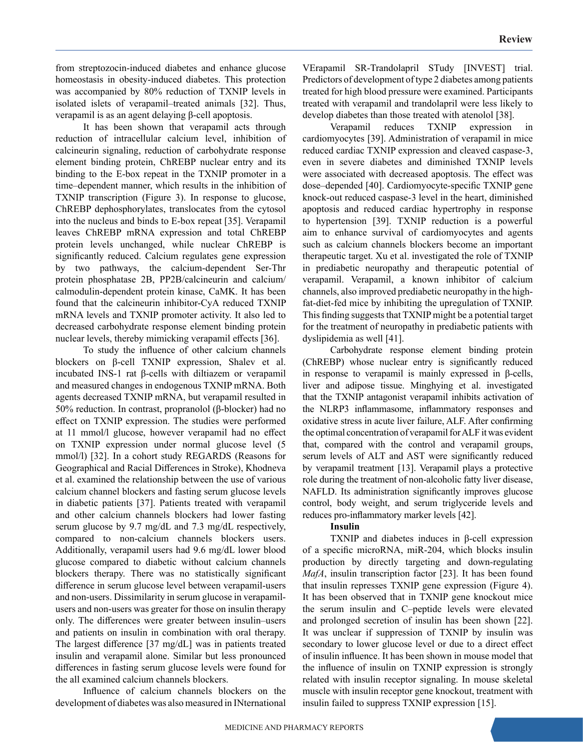from streptozocin-induced diabetes and enhance glucose homeostasis in obesity-induced diabetes. This protection was accompanied by 80% reduction of TXNIP levels in isolated islets of verapamil–treated animals [32]. Thus, verapamil is as an agent delaying β-cell apoptosis.

It has been shown that verapamil acts through reduction of intracellular calcium level, inhibition of calcineurin signaling, reduction of carbohydrate response element binding protein, ChREBP nuclear entry and its binding to the E-box repeat in the TXNIP promoter in a time–dependent manner, which results in the inhibition of TXNIP transcription (Figure 3). In response to glucose, ChREBP dephosphorylates, translocates from the cytosol into the nucleus and binds to E-box repeat [35]. Verapamil leaves ChREBP mRNA expression and total ChREBP protein levels unchanged, while nuclear ChREBP is significantly reduced. Calcium regulates gene expression by two pathways, the calcium-dependent Ser-Thr protein phosphatase 2B, PP2B/calcineurin and calcium/ calmodulin-dependent protein kinase, CaMK. It has been found that the calcineurin inhibitor-CyA reduced TXNIP mRNA levels and TXNIP promoter activity. It also led to decreased carbohydrate response element binding protein nuclear levels, thereby mimicking verapamil effects [36].

To study the influence of other calcium channels blockers on β-cell TXNIP expression, Shalev et al. incubated INS-1 rat β-cells with diltiazem or verapamil and measured changes in endogenous TXNIP mRNA. Both agents decreased TXNIP mRNA, but verapamil resulted in 50% reduction. In contrast, propranolol (β-blocker) had no effect on TXNIP expression. The studies were performed at 11 mmol/l glucose, however verapamil had no effect on TXNIP expression under normal glucose level (5 mmol/l) [32]. In a cohort study REGARDS (Reasons for Geographical and Racial Differences in Stroke), Khodneva et al. examined the relationship between the use of various calcium channel blockers and fasting serum glucose levels in diabetic patients [37]. Patients treated with verapamil and other calcium channels blockers had lower fasting serum glucose by 9.7 mg/dL and 7.3 mg/dL respectively, compared to non-calcium channels blockers users. Additionally, verapamil users had 9.6 mg/dL lower blood glucose compared to diabetic without calcium channels blockers therapy. There was no statistically significant difference in serum glucose level between verapamil-users and non-users. Dissimilarity in serum glucose in verapamilusers and non-users was greater for those on insulin therapy only. The differences were greater between insulin–users and patients on insulin in combination with oral therapy. The largest difference [37 mg/dL] was in patients treated insulin and verapamil alone. Similar but less pronounced differences in fasting serum glucose levels were found for the all examined calcium channels blockers.

Influence of calcium channels blockers on the development of diabetes was also measured in INternational VErapamil SR-Trandolapril STudy [INVEST] trial. Predictors of development of type 2 diabetes among patients treated for high blood pressure were examined. Participants treated with verapamil and trandolapril were less likely to develop diabetes than those treated with atenolol [38].

Verapamil reduces TXNIP expression in cardiomyocytes [39]. Administration of verapamil in mice reduced cardiac TXNIP expression and cleaved caspase-3, even in severe diabetes and diminished TXNIP levels were associated with decreased apoptosis. The effect was dose–depended [40]. Cardiomyocyte-specific TXNIP gene knock-out reduced caspase-3 level in the heart, diminished apoptosis and reduced cardiac hypertrophy in response to hypertension [39]. TXNIP reduction is a powerful aim to enhance survival of cardiomyocytes and agents such as calcium channels blockers become an important therapeutic target. Xu et al. investigated the role of TXNIP in prediabetic neuropathy and therapeutic potential of verapamil. Verapamil, a known inhibitor of calcium channels, also improved prediabetic neuropathy in the highfat-diet-fed mice by inhibiting the upregulation of TXNIP. This finding suggests that TXNIP might be a potential target for the treatment of neuropathy in prediabetic patients with dyslipidemia as well [41].

Carbohydrate response element binding protein (ChREBP) whose nuclear entry is significantly reduced in response to verapamil is mainly expressed in β-cells, liver and adipose tissue. Minghying et al. investigated that the TXNIP antagonist verapamil inhibits activation of the NLRP3 inflammasome, inflammatory responses and oxidative stress in acute liver failure, ALF. After confirming the optimal concentration of verapamil for ALF it was evident that, compared with the control and verapamil groups, serum levels of ALT and AST were significantly reduced by verapamil treatment [13]. Verapamil plays a protective role during the treatment of non-alcoholic fatty liver disease, NAFLD. Its administration significantly improves glucose control, body weight, and serum triglyceride levels and reduces pro-inflammatory marker levels [42].

#### **Insulin**

TXNIP and diabetes induces in β-cell expression of a specific microRNA, miR-204, which blocks insulin production by directly targeting and down-regulating *MafA*, insulin transcription factor [23]. It has been found that insulin represses TXNIP gene expression (Figure 4). It has been observed that in TXNIP gene knockout mice the serum insulin and C–peptide levels were elevated and prolonged secretion of insulin has been shown [22]. It was unclear if suppression of TXNIP by insulin was secondary to lower glucose level or due to a direct effect of insulin influence. It has been shown in mouse model that the influence of insulin on TXNIP expression is strongly related with insulin receptor signaling. In mouse skeletal muscle with insulin receptor gene knockout, treatment with insulin failed to suppress TXNIP expression [15].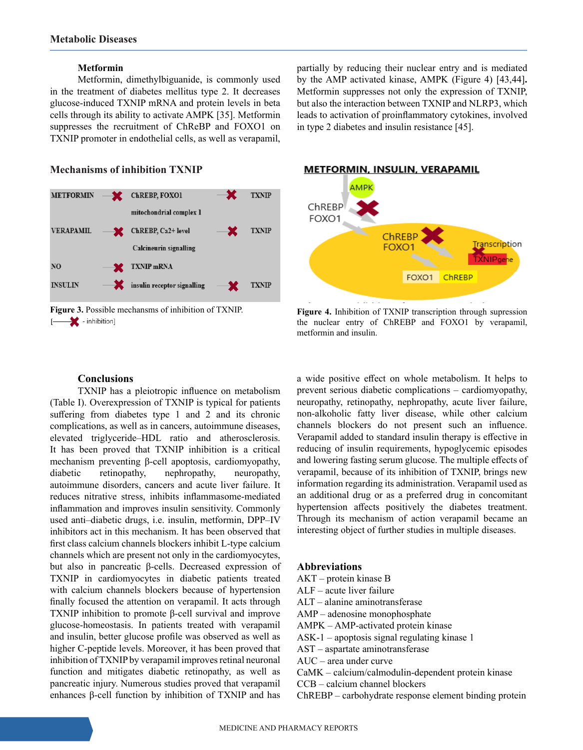#### **Metformin**

Metformin, dimethylbiguanide, is commonly used in the treatment of diabetes mellitus type 2. It decreases glucose-induced TXNIP mRNA and protein levels in beta cells through its ability to activate AMPK [35]. Metformin suppresses the recruitment of ChReBP and FOXO1 on TXNIP promoter in endothelial cells, as well as verapamil,

#### **Mechanisms of inhibition TXNIP**



### partially by reducing their nuclear entry and is mediated by the AMP activated kinase, AMPK (Figure 4) [43,44]**.** Metformin suppresses not only the expression of TXNIP, but also the interaction between TXNIP and NLRP3, which leads to activation of proinflammatory cytokines, involved in type 2 diabetes and insulin resistance [45].



**Figure 3.** Possible mechansms of inhibition of TXNIP.<br> **Figure 4.** Inhibition of TXNIP transcription through supression<br>
the nuclear entry of ChREBP and FOXO1 by veranamil. the nuclear entry of ChREBP and FOXO1 by verapamil, metformin and insulin.

#### **Conclusions**

TXNIP has a pleiotropic influence on metabolism (Table I). Overexpression of TXNIP is typical for patients suffering from diabetes type 1 and 2 and its chronic complications, as well as in cancers, autoimmune diseases, elevated triglyceride–HDL ratio and atherosclerosis. It has been proved that TXNIP inhibition is a critical mechanism preventing β-cell apoptosis, cardiomyopathy, diabetic retinopathy, nephropathy, neuropathy, autoimmune disorders, cancers and acute liver failure. It reduces nitrative stress, inhibits inflammasome-mediated inflammation and improves insulin sensitivity. Commonly used anti–diabetic drugs, i.e. insulin, metformin, DPP–IV inhibitors act in this mechanism. It has been observed that first class calcium channels blockers inhibit L-type calcium channels which are present not only in the cardiomyocytes, but also in pancreatic β-cells. Decreased expression of TXNIP in cardiomyocytes in diabetic patients treated with calcium channels blockers because of hypertension finally focused the attention on verapamil. It acts through TXNIP inhibition to promote β-cell survival and improve glucose-homeostasis. In patients treated with verapamil and insulin, better glucose profile was observed as well as higher C-peptide levels. Moreover, it has been proved that inhibition of TXNIP by verapamil improves retinal neuronal function and mitigates diabetic retinopathy, as well as pancreatic injury. Numerous studies proved that verapamil enhances β-cell function by inhibition of TXNIP and has

a wide positive effect on whole metabolism. It helps to prevent serious diabetic complications – cardiomyopathy, neuropathy, retinopathy, nephropathy, acute liver failure, non-alkoholic fatty liver disease, while other calcium channels blockers do not present such an influence. Verapamil added to standard insulin therapy is effective in reducing of insulin requirements, hypoglycemic episodes and lowering fasting serum glucose. The multiple effects of verapamil, because of its inhibition of TXNIP, brings new information regarding its administration. Verapamil used as an additional drug or as a preferred drug in concomitant hypertension affects positively the diabetes treatment. Through its mechanism of action verapamil became an interesting object of further studies in multiple diseases.

**Abbreviations**  AKT – protein kinase B ALF – acute liver failure ALT – alanine aminotransferase AMP – adenosine monophosphate AMPK – AMP-activated protein kinase ASK-1 – apoptosis signal regulating kinase 1 AST – aspartate aminotransferase AUC – area under curve CaMK – calcium/calmodulin-dependent protein kinase CCB – calcium channel blockers ChREBP – carbohydrate response element binding protein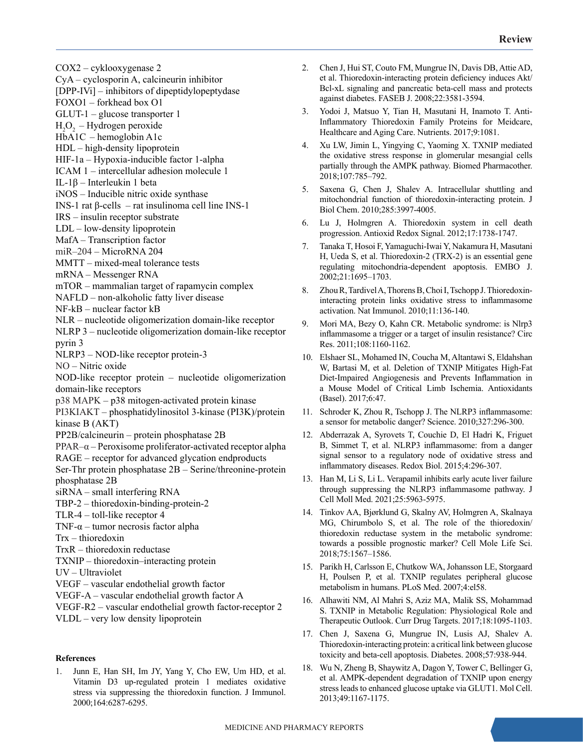COX2 – cyklooxygenase 2

- CyA cyclosporin A, calcineurin inhibitor
- [DPP-IVi] inhibitors of dipeptidylopeptydase
- FOXO1 forkhead box O1
- GLUT-1 glucose transporter 1
- $H_2O_2$  Hydrogen peroxide
- HbA1C hemoglobin A1c
- HDL high-density lipoprotein
- HIF-1a Hypoxia-inducible factor 1-alpha
- ICAM 1 intercellular adhesion molecule 1
- IL-1β Interleukin 1 beta
- iNOS Inducible nitric oxide synthase
- INS-1 rat β-cells rat insulinoma cell line INS-1
- IRS insulin receptor substrate
- LDL low-density lipoprotein
- MafA Transcription factor
- miR–204 MicroRNA 204
- MMTT mixed-meal tolerance tests
- mRNA Messenger RNA
- mTOR mammalian target of rapamycin complex
- NAFLD non-alkoholic fatty liver disease
- NF-kB nuclear factor kB
- NLR nucleotide oligomerization domain-like receptor
- NLRP 3 nucleotide oligomerization domain-like receptor pyrin 3
- NLRP3 NOD-like receptor protein-3
- NO Nitric oxide
- NOD-like receptor protein nucleotide oligomerization domain-like receptors
- p38 MAPK p38 mitogen-activated protein kinase
- PI3KIAKT phosphatidylinositol 3‑kinase (PI3K)/protein kinase B (AKT)
- PP2B/calcineurin protein phosphatase 2B
- PPAR–α Peroxisome proliferator-activated receptor alpha
- RAGE receptor for advanced glycation endproducts
- Ser-Thr protein phosphatase 2B Serine/threonine-protein phosphatase 2B
- siRNA small interfering RNA
- TBP-2 thioredoxin-binding-protein-2
- TLR-4 toll-like receptor 4
- TNF- $\alpha$  tumor necrosis factor alpha
- Trx thioredoxin
- TrxR thioredoxin reductase
- TXNIP thioredoxin–interacting protein
- UV Ultraviolet
- VEGF vascular endothelial growth factor
- VEGF-A vascular endothelial growth factor A
- VEGF-R2 vascular endothelial growth factor-receptor 2
- VLDL very low density lipoprotein

#### **References**

1. Junn E, Han SH, Im JY, Yang Y, Cho EW, Um HD, et al. Vitamin D3 up-regulated protein 1 mediates oxidative stress via suppressing the thioredoxin function. J Immunol. 2000;164:6287-6295.

- 2. Chen J, Hui ST, Couto FM, Mungrue IN, Davis DB, Attie AD, et al. Thioredoxin-interacting protein deficiency induces Akt/ Bcl-xL signaling and pancreatic beta-cell mass and protects against diabetes. FASEB J. 2008;22:3581-3594.
- 3. Yodoi J, Matsuo Y, Tian H, Masutani H, Inamoto T. Anti-Inflammatory Thioredoxin Family Proteins for Meidcare, Healthcare and Aging Care. Nutrients. 2017;9:1081.
- 4. Xu LW, Jimin L, Yingying C, Yaoming X. TXNIP mediated the oxidative stress response in glomerular mesangial cells partially through the AMPK pathway. Biomed Pharmacother. 2018;107:785–792.
- 5. Saxena G, Chen J, Shalev A. Intracellular shuttling and mitochondrial function of thioredoxin-interacting protein. J Biol Chem. 2010;285:3997-4005.
- 6. Lu J, Holmgren A. Thioredoxin system in cell death progression. Antioxid Redox Signal. 2012;17:1738-1747.
- 7. Tanaka T, Hosoi F, Yamaguchi-Iwai Y, Nakamura H, Masutani H, Ueda S, et al. Thioredoxin-2 (TRX-2) is an essential gene regulating mitochondria-dependent apoptosis. EMBO J. 2002;21:1695–1703.
- 8. Zhou R, Tardivel A, Thorens B, Choi I, Tschopp J. Thioredoxininteracting protein links oxidative stress to inflammasome activation. Nat Immunol. 2010;11:136-140.
- Mori MA, Bezy O, Kahn CR. Metabolic syndrome: is Nlrp3 inflammasome a trigger or a target of insulin resistance? Circ Res. 2011;108:1160-1162.
- 10. Elshaer SL, Mohamed IN, Coucha M, Altantawi S, Eldahshan W, Bartasi M, et al. Deletion of TXNIP Mitigates High-Fat Diet-Impaired Angiogenesis and Prevents Inflammation in a Mouse Model of Critical Limb Ischemia. Antioxidants (Basel). 2017;6:47.
- 11. Schroder K, Zhou R, Tschopp J. The NLRP3 inflammasome: a sensor for metabolic danger? Science. 2010;327:296-300.
- 12. Abderrazak A, Syrovets T, Couchie D, El Hadri K, Friguet B, Simmet T, et al. NLRP3 inflammasome: from a danger signal sensor to a regulatory node of oxidative stress and inflammatory diseases. Redox Biol. 2015;4:296-307.
- 13. Han M, Li S, Li L. Verapamil inhibits early acute liver failure through suppressing the NLRP3 inflammasome pathway. J Cell Moll Med. 2021;25:5963-5975.
- 14. Tinkov AA, Bjørklund G, Skalny AV, Holmgren A, Skalnaya MG, Chirumbolo S, et al. The role of the thioredoxin/ thioredoxin reductase system in the metabolic syndrome: towards a possible prognostic marker? Cell Mole Life Sci. 2018;75:1567–1586.
- 15. Parikh H, Carlsson E, Chutkow WA, Johansson LE, Storgaard H, Poulsen P, et al. TXNIP regulates peripheral glucose metabolism in humans. PLoS Med. 2007;4:el58.
- 16. Alhawiti NM, Al Mahri S, Aziz MA, Malik SS, Mohammad S. TXNIP in Metabolic Regulation: Physiological Role and Therapeutic Outlook. Curr Drug Targets. 2017;18:1095-1103.
- 17. Chen J, Saxena G, Mungrue IN, Lusis AJ, Shalev A. Thioredoxin-interacting protein: a critical link between glucose toxicity and beta-cell apoptosis. Diabetes. 2008;57:938-944.
- 18. Wu N, Zheng B, Shaywitz A, Dagon Y, Tower C, Bellinger G, et al. AMPK-dependent degradation of TXNIP upon energy stress leads to enhanced glucose uptake via GLUT1. Mol Cell. 2013;49:1167-1175.